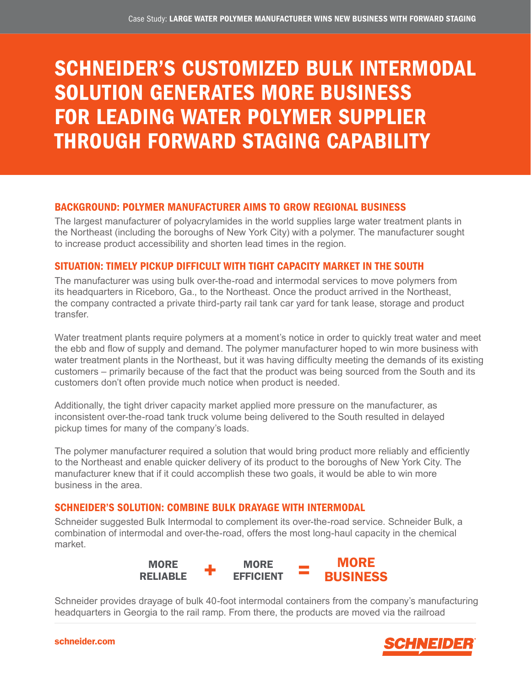# SCHNEIDER'S CUSTOMIZED BULK INTERMODAL SOLUTION GENERATES MORE BUSINESS FOR LEADING WATER POLYMER SUPPLIER THROUGH FORWARD STAGING CAPABILITY

### BACKGROUND: POLYMER MANUFACTURER AIMS TO GROW REGIONAL BUSINESS

The largest manufacturer of polyacrylamides in the world supplies large water treatment plants in the Northeast (including the boroughs of New York City) with a polymer. The manufacturer sought to increase product accessibility and shorten lead times in the region.

### SITUATION: TIMELY PICKUP DIFFICULT WITH TIGHT CAPACITY MARKET IN THE SOUTH

The manufacturer was using bulk over-the-road and intermodal services to move polymers from its headquarters in Riceboro, Ga., to the Northeast. Once the product arrived in the Northeast, the company contracted a private third-party rail tank car yard for tank lease, storage and product transfer.

Water treatment plants require polymers at a moment's notice in order to quickly treat water and meet the ebb and flow of supply and demand. The polymer manufacturer hoped to win more business with water treatment plants in the Northeast, but it was having difficulty meeting the demands of its existing customers – primarily because of the fact that the product was being sourced from the South and its customers don't often provide much notice when product is needed.

Additionally, the tight driver capacity market applied more pressure on the manufacturer, as inconsistent over-the-road tank truck volume being delivered to the South resulted in delayed pickup times for many of the company's loads.

The polymer manufacturer required a solution that would bring product more reliably and efficiently to the Northeast and enable quicker delivery of its product to the boroughs of New York City. The manufacturer knew that if it could accomplish these two goals, it would be able to win more business in the area.

### SCHNEIDER'S SOLUTION: COMBINE BULK DRAYAGE WITH INTERMODAL

Schneider suggested Bulk Intermodal to complement its over-the-road service. Schneider Bulk, a combination of intermodal and over-the-road, offers the most long-haul capacity in the chemical market.



Schneider provides drayage of bulk 40-foot intermodal containers from the company's manufacturing headquarters in Georgia to the rail ramp. From there, the products are moved via the railroad